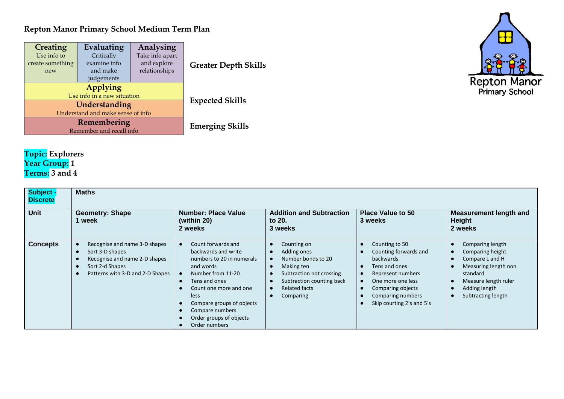## **Repton Manor Primary School Medium Term Plan**

| Creating<br>Analysing<br>Evaluating<br>Take info apart<br>Use info to<br>Critically<br>examine info<br>and explore<br>create something<br>and make<br>relationships<br>new<br>judgements |                                         | <b>Greater Depth Skills</b> |
|------------------------------------------------------------------------------------------------------------------------------------------------------------------------------------------|-----------------------------------------|-----------------------------|
|                                                                                                                                                                                          | Applying<br>Use info in a new situation |                             |
|                                                                                                                                                                                          | Understanding                           | <b>Expected Skills</b>      |
|                                                                                                                                                                                          | Understand and make sense of info       |                             |
|                                                                                                                                                                                          | Remembering                             | <b>Emerging Skills</b>      |
|                                                                                                                                                                                          | Remember and recall info                |                             |



## **Topic: Explorers Year Group: 1 Terms: 3 and 4**

| <b>Subject</b><br><b>Discrete</b> | <b>Maths</b>                                                                                                                             |                                                                                                                                                                                                                                                         |                                                                                                                                                       |                                                                                                                                                                                        |                                                                                                                                                            |  |  |  |
|-----------------------------------|------------------------------------------------------------------------------------------------------------------------------------------|---------------------------------------------------------------------------------------------------------------------------------------------------------------------------------------------------------------------------------------------------------|-------------------------------------------------------------------------------------------------------------------------------------------------------|----------------------------------------------------------------------------------------------------------------------------------------------------------------------------------------|------------------------------------------------------------------------------------------------------------------------------------------------------------|--|--|--|
| <b>Unit</b>                       | <b>Geometry: Shape</b><br>1 week                                                                                                         | <b>Number: Place Value</b><br>(within 20)<br>2 weeks                                                                                                                                                                                                    | <b>Addition and Subtraction</b><br>to 20.<br>3 weeks                                                                                                  | <b>Place Value to 50</b><br>3 weeks                                                                                                                                                    | <b>Measurement length and</b><br>Height<br>2 weeks                                                                                                         |  |  |  |
| <b>Concepts</b>                   | Recognise and name 3-D shapes<br>Sort 3-D shapes<br>Recognise and name 2-D shapes<br>Sort 2-d Shapes<br>Patterns with 3-D and 2-D Shapes | Count forwards and<br>backwards and write<br>numbers to 20 in numerals<br>and words<br>Number from 11-20<br>Tens and ones<br>Count one more and one<br>less<br>Compare groups of objects<br>Compare numbers<br>Order groups of objects<br>Order numbers | Counting on<br>Adding ones<br>Number bonds to 20<br>Making ten<br>Subtraction not crossing<br>Subtraction counting back<br>Related facts<br>Comparing | Counting to 50<br>Counting forwards and<br>backwards<br>Tens and ones<br>Represent numbers<br>One more one less<br>Comparing objects<br>Comparing numbers<br>Skip courting 2's and 5's | Comparing length<br>Comparing height<br>Compare L and H<br>Measuring length non<br>standard<br>Measure length ruler<br>Adding length<br>Subtracting length |  |  |  |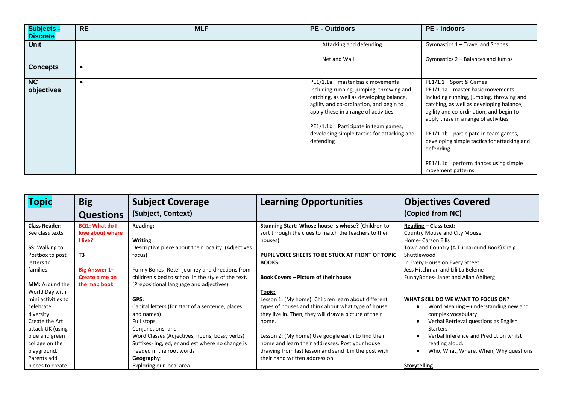| <b>Subjects -</b><br><b>Discrete</b> | <b>RE</b> | <b>MLF</b> | <b>PE - Outdoors</b>                                                                                                                                                                                                                                                                                          | <b>PE</b> - Indoors                                                                                                                                                                                                                                                                                                                                                                                  |
|--------------------------------------|-----------|------------|---------------------------------------------------------------------------------------------------------------------------------------------------------------------------------------------------------------------------------------------------------------------------------------------------------------|------------------------------------------------------------------------------------------------------------------------------------------------------------------------------------------------------------------------------------------------------------------------------------------------------------------------------------------------------------------------------------------------------|
| <b>Unit</b>                          |           |            | Attacking and defending                                                                                                                                                                                                                                                                                       | Gymnastics 1 - Travel and Shapes                                                                                                                                                                                                                                                                                                                                                                     |
|                                      |           |            | Net and Wall                                                                                                                                                                                                                                                                                                  | Gymnastics 2 - Balances and Jumps                                                                                                                                                                                                                                                                                                                                                                    |
| <b>Concepts</b>                      | $\bullet$ |            |                                                                                                                                                                                                                                                                                                               |                                                                                                                                                                                                                                                                                                                                                                                                      |
| NC<br>objectives                     |           |            | PE1/1.1a master basic movements<br>including running, jumping, throwing and<br>catching, as well as developing balance,<br>agility and co-ordination, and begin to<br>apply these in a range of activities<br>PE1/1.1b Participate in team games,<br>developing simple tactics for attacking and<br>defending | PE1/1.1 Sport & Games<br>PE1/1.1a master basic movements<br>including running, jumping, throwing and<br>catching, as well as developing balance,<br>agility and co-ordination, and begin to<br>apply these in a range of activities<br>PE1/1.1b participate in team games,<br>developing simple tactics for attacking and<br>defending<br>PE1/1.1c perform dances using simple<br>movement patterns. |

| <b>Topic</b>          | <b>Big</b>            | <b>Subject Coverage</b>                             | <b>Learning Opportunities</b>                         | <b>Objectives Covered</b>                  |
|-----------------------|-----------------------|-----------------------------------------------------|-------------------------------------------------------|--------------------------------------------|
|                       | <b>Questions</b>      | (Subject, Context)                                  |                                                       | (Copied from NC)                           |
| <b>Class Reader:</b>  | <b>BQ1: What do I</b> | <b>Reading:</b>                                     | Stunning Start: Whose house is whose? (Children to    | <b>Reading - Class text:</b>               |
| See class texts       | love about where      |                                                     | sort through the clues to match the teachers to their | <b>Country Mouse and City Mouse</b>        |
|                       | 1 live?               | Writing:                                            | houses)                                               | Home- Carson Ellis                         |
| <b>SS:</b> Walking to |                       | Descriptive piece about their locality. (Adjectives |                                                       | Town and Country (A Turnaround Book) Craig |
| Postbox to post       | T3                    | focus)                                              | PUPIL VOICE SHEETS TO BE STUCK AT FRONT OF TOPIC      | Shuttlewood                                |
| letters to            |                       |                                                     | <b>BOOKS.</b>                                         | In Every House on Every Street             |
| families              | <b>Big Answer 1-</b>  | Funny Bones- Retell journey and directions from     |                                                       | Jess Hitchman and Lili La Beleine          |
|                       | Create a me on        | children's bed to school in the style of the text.  | <b>Book Covers - Picture of their house</b>           | FunnyBones-Janet and Allan Ahlberg         |
| <b>MM:</b> Around the | the map book          | (Prepositional language and adjectives)             |                                                       |                                            |
| World Day with        |                       |                                                     | Topic:                                                |                                            |
| mini activities to    |                       | GPS:                                                | Lesson 1: (My home): Children learn about different   | WHAT SKILL DO WE WANT TO FOCUS ON?         |
| celebrate             |                       | Capital letters (for start of a sentence, places    | types of houses and think about what type of house    | Word Meaning – understanding new and       |
| diversity             |                       | and names)                                          | they live in. Then, they will draw a picture of their | complex vocabulary                         |
| Create the Art        |                       | Full stops                                          | home.                                                 | Verbal Retrieval questions as English      |
| attack UK (using      |                       | Conjunctions- and                                   |                                                       | <b>Starters</b>                            |
| blue and green        |                       | Word Classes (Adjectives, nouns, bossy verbs)       | Lesson 2: (My home) Use google earth to find their    | Verbal Inference and Prediction whilst     |
| collage on the        |                       | Suffixes- ing, ed, er and est where no change is    | home and learn their addresses. Post your house       | reading aloud.                             |
| playground.           |                       | needed in the root words                            | drawing from last lesson and send it in the post with | Who, What, Where, When, Why questions      |
| Parents add           |                       | Geography:                                          | their hand written address on.                        |                                            |
| pieces to create      |                       | Exploring our local area.                           |                                                       | <b>Storytelling</b>                        |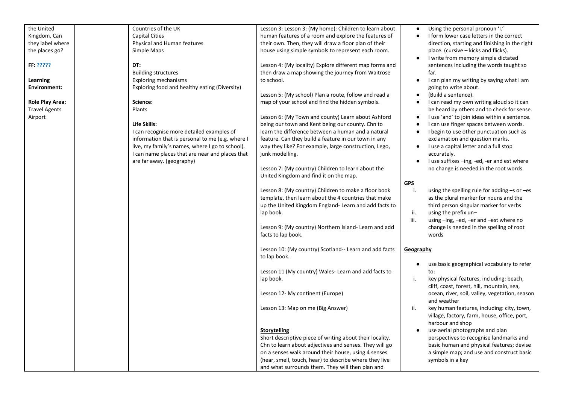| the United                                     | Countries of the UK                              | Lesson 3: Lesson 3: (My home): Children to learn about                                                   | Using the personal pronoun 'I.'<br>$\bullet$                                               |
|------------------------------------------------|--------------------------------------------------|----------------------------------------------------------------------------------------------------------|--------------------------------------------------------------------------------------------|
| Kingdom. Can                                   | <b>Capital Cities</b>                            | human features of a room and explore the features of                                                     | I form lower case letters in the correct<br>$\bullet$                                      |
| they label where                               | Physical and Human features                      | their own. Then, they will draw a floor plan of their                                                    | direction, starting and finishing in the right                                             |
| the places go?                                 | Simple Maps                                      | house using simple symbols to represent each room.                                                       | place. (cursive – kicks and flicks).                                                       |
|                                                |                                                  |                                                                                                          | I write from memory simple dictated<br>$\bullet$                                           |
| FF: ?????                                      | DT:                                              | Lesson 4: (My locality) Explore different map forms and                                                  | sentences including the words taught so                                                    |
|                                                | <b>Building structures</b>                       | then draw a map showing the journey from Waitrose                                                        | far.                                                                                       |
|                                                |                                                  |                                                                                                          |                                                                                            |
| Learning<br><b>Environment:</b>                | <b>Exploring mechanisms</b>                      | to school.                                                                                               | I can plan my writing by saying what I am<br>$\bullet$                                     |
|                                                | Exploring food and healthy eating (Diversity)    |                                                                                                          | going to write about.                                                                      |
|                                                | Science:                                         | Lesson 5: (My school) Plan a route, follow and read a<br>map of your school and find the hidden symbols. | (Build a sentence).<br>$\bullet$<br>I can read my own writing aloud so it can<br>$\bullet$ |
| <b>Role Play Area:</b><br><b>Travel Agents</b> | Plants                                           |                                                                                                          |                                                                                            |
|                                                |                                                  | Lesson 6: (My Town and county) Learn about Ashford                                                       | be heard by others and to check for sense.                                                 |
| Airport                                        |                                                  |                                                                                                          | I use 'and' to join ideas within a sentence.<br>$\bullet$                                  |
|                                                | Life Skills:                                     | being our town and Kent being our county. Chn to                                                         | I can use finger spaces between words.                                                     |
|                                                | I can recognise more detailed examples of        | learn the difference between a human and a natural                                                       | I begin to use other punctuation such as<br>$\bullet$                                      |
|                                                | information that is personal to me (e.g. where I | feature. Can they build a feature in our town in any                                                     | exclamation and question marks.                                                            |
|                                                | live, my family's names, where I go to school).  | way they like? For example, large construction, Lego,                                                    | I use a capital letter and a full stop<br>$\bullet$                                        |
|                                                | I can name places that are near and places that  | junk modelling.                                                                                          | accurately.                                                                                |
|                                                | are far away. (geography)                        |                                                                                                          | I use suffixes -ing, -ed, -er and est where<br>$\bullet$                                   |
|                                                |                                                  | Lesson 7: (My country) Children to learn about the                                                       | no change is needed in the root words.                                                     |
|                                                |                                                  | United Kingdom and find it on the map.                                                                   |                                                                                            |
|                                                |                                                  |                                                                                                          | <u>GPS</u>                                                                                 |
|                                                |                                                  | Lesson 8: (My country) Children to make a floor book                                                     | j.<br>using the spelling rule for adding -s or -es                                         |
|                                                |                                                  | template, then learn about the 4 countries that make                                                     | as the plural marker for nouns and the                                                     |
|                                                |                                                  | up the United Kingdom England-Learn and add facts to                                                     | third person singular marker for verbs                                                     |
|                                                |                                                  | lap book.                                                                                                | ii.<br>using the prefix un-                                                                |
|                                                |                                                  |                                                                                                          | iii.<br>using -ing, -ed, -er and -est where no                                             |
|                                                |                                                  | Lesson 9: (My country) Northern Island-Learn and add                                                     | change is needed in the spelling of root                                                   |
|                                                |                                                  | facts to lap book.                                                                                       | words                                                                                      |
|                                                |                                                  |                                                                                                          |                                                                                            |
|                                                |                                                  | Lesson 10: (My country) Scotland-- Learn and add facts                                                   | Geography                                                                                  |
|                                                |                                                  | to lap book.                                                                                             |                                                                                            |
|                                                |                                                  |                                                                                                          | use basic geographical vocabulary to refer<br>$\bullet$                                    |
|                                                |                                                  | Lesson 11 (My country) Wales- Learn and add facts to                                                     | to:                                                                                        |
|                                                |                                                  | lap book.                                                                                                | i.<br>key physical features, including: beach,                                             |
|                                                |                                                  |                                                                                                          | cliff, coast, forest, hill, mountain, sea,                                                 |
|                                                |                                                  | Lesson 12- My continent (Europe)                                                                         | ocean, river, soil, valley, vegetation, season                                             |
|                                                |                                                  |                                                                                                          | and weather                                                                                |
|                                                |                                                  | Lesson 13: Map on me (Big Answer)                                                                        | ii.<br>key human features, including: city, town,                                          |
|                                                |                                                  |                                                                                                          | village, factory, farm, house, office, port,                                               |
|                                                |                                                  |                                                                                                          | harbour and shop                                                                           |
|                                                |                                                  | <b>Storytelling</b>                                                                                      | use aerial photographs and plan                                                            |
|                                                |                                                  | Short descriptive piece of writing about their locality.                                                 | perspectives to recognise landmarks and                                                    |
|                                                |                                                  | Chn to learn about adjectives and senses. They will go                                                   | basic human and physical features; devise                                                  |
|                                                |                                                  | on a senses walk around their house, using 4 senses                                                      | a simple map; and use and construct basic                                                  |
|                                                |                                                  | (hear, smell, touch, hear) to describe where they live                                                   | symbols in a key                                                                           |
|                                                |                                                  | and what surrounds them. They will then plan and                                                         |                                                                                            |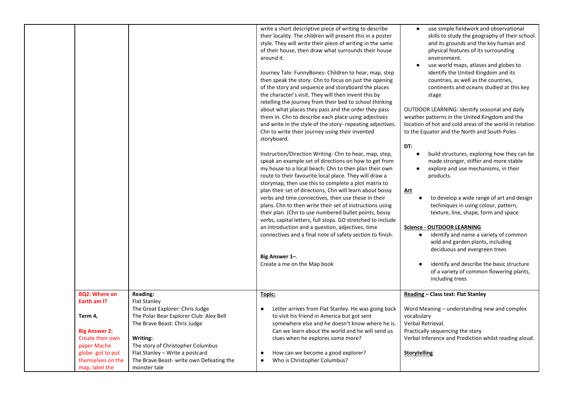|                                          |                                          | write a short descriptive piece of writing to describe<br>their locality. The children will present this in a poster<br>style. They will write their piece of writing in the same<br>of their house, then draw what surrounds their house<br>around it.<br>Journey Tale: FunnyBones- Children to hear, map, step<br>then speak the story. Chn to focus on just the opening<br>of the story and sequence and storyboard the places<br>the character's visit. They will then invent this by<br>retelling the journey from their bed to school thinking<br>about what places they pass and the order they pass<br>them in. Chn to describe each place using adjectives<br>and write in the style of the story- repeating adjectives.<br>Chn to write their journey using their invented<br>storyboard.<br>Instruction/Direction Writing- Chn to hear, map, step,<br>speak an example set of directions on how to get from<br>my house to a local beach. Chn to then plan their own<br>route to their favourite local place. They will draw a<br>storymap, then use this to complete a plot matrix to<br>plan their set of directions, Chn will learn about bossy<br>verbs and time connectives, then use these in their<br>plans. Chn to then write their set of instructions using<br>their plan. (Chn to use numbered bullet points, bossy<br>verbs, capital letters, full stops. GD stretched to include<br>an introduction and a question, adjectives, time<br>connectives and a final note of safety section to finish.<br>Big Answer 1-.<br>Create a me on the Map book | use simple fieldwork and observational<br>$\bullet$<br>skills to study the geography of their school<br>and its grounds and the key human and<br>physical features of its surrounding<br>environment.<br>use world maps, atlases and globes to<br>$\bullet$<br>identify the United Kingdom and its<br>countries, as well as the countries,<br>continents and oceans studied at this key<br>stage<br>OUTDOOR LEARNING: identify seasonal and daily<br>weather patterns in the United Kingdom and the<br>location of hot and cold areas of the world in relation<br>to the Equator and the North and South Poles<br>DT:<br>build structures, exploring how they can be<br>made stronger, stiffer and more stable<br>explore and use mechanisms, in their<br>$\bullet$<br>products.<br><u>Art</u><br>to develop a wide range of art and design<br>techniques in using colour, pattern,<br>texture, line, shape, form and space<br><b>Science - OUTDOOR LEARNING</b><br>identify and name a variety of common<br>$\bullet$<br>wild and garden plants, including<br>deciduous and evergreen trees<br>identify and describe the basic structure<br>of a variety of common flowering plants,<br>including trees |
|------------------------------------------|------------------------------------------|----------------------------------------------------------------------------------------------------------------------------------------------------------------------------------------------------------------------------------------------------------------------------------------------------------------------------------------------------------------------------------------------------------------------------------------------------------------------------------------------------------------------------------------------------------------------------------------------------------------------------------------------------------------------------------------------------------------------------------------------------------------------------------------------------------------------------------------------------------------------------------------------------------------------------------------------------------------------------------------------------------------------------------------------------------------------------------------------------------------------------------------------------------------------------------------------------------------------------------------------------------------------------------------------------------------------------------------------------------------------------------------------------------------------------------------------------------------------------------------------------------------------------------------------------------------------------|----------------------------------------------------------------------------------------------------------------------------------------------------------------------------------------------------------------------------------------------------------------------------------------------------------------------------------------------------------------------------------------------------------------------------------------------------------------------------------------------------------------------------------------------------------------------------------------------------------------------------------------------------------------------------------------------------------------------------------------------------------------------------------------------------------------------------------------------------------------------------------------------------------------------------------------------------------------------------------------------------------------------------------------------------------------------------------------------------------------------------------------------------------------------------------------------------------|
| <b>BQ2: Where on</b><br>Earth am I?      | <b>Reading:</b><br><b>Flat Stanley</b>   | Topic:                                                                                                                                                                                                                                                                                                                                                                                                                                                                                                                                                                                                                                                                                                                                                                                                                                                                                                                                                                                                                                                                                                                                                                                                                                                                                                                                                                                                                                                                                                                                                                     | Reading - Class text: Flat Stanley                                                                                                                                                                                                                                                                                                                                                                                                                                                                                                                                                                                                                                                                                                                                                                                                                                                                                                                                                                                                                                                                                                                                                                       |
|                                          | The Great Explorer: Chris Judge          | Letter arrives from Flat Stanley. He was going back<br>$\bullet$                                                                                                                                                                                                                                                                                                                                                                                                                                                                                                                                                                                                                                                                                                                                                                                                                                                                                                                                                                                                                                                                                                                                                                                                                                                                                                                                                                                                                                                                                                           | Word Meaning - understanding new and complex                                                                                                                                                                                                                                                                                                                                                                                                                                                                                                                                                                                                                                                                                                                                                                                                                                                                                                                                                                                                                                                                                                                                                             |
| Term 4,                                  | The Polar Bear Explorer Club: Alex Bell  | to visit his friend in America but got sent                                                                                                                                                                                                                                                                                                                                                                                                                                                                                                                                                                                                                                                                                                                                                                                                                                                                                                                                                                                                                                                                                                                                                                                                                                                                                                                                                                                                                                                                                                                                | vocabulary                                                                                                                                                                                                                                                                                                                                                                                                                                                                                                                                                                                                                                                                                                                                                                                                                                                                                                                                                                                                                                                                                                                                                                                               |
|                                          | The Brave Beast: Chris Judge             | somewhere else and he doesn't know where he is.                                                                                                                                                                                                                                                                                                                                                                                                                                                                                                                                                                                                                                                                                                                                                                                                                                                                                                                                                                                                                                                                                                                                                                                                                                                                                                                                                                                                                                                                                                                            | Verbal Retrieval.                                                                                                                                                                                                                                                                                                                                                                                                                                                                                                                                                                                                                                                                                                                                                                                                                                                                                                                                                                                                                                                                                                                                                                                        |
| <b>Big Answer 2:</b><br>Create their own | Writing:                                 | Can we learn about the world and he will send us<br>clues when he explores some more?                                                                                                                                                                                                                                                                                                                                                                                                                                                                                                                                                                                                                                                                                                                                                                                                                                                                                                                                                                                                                                                                                                                                                                                                                                                                                                                                                                                                                                                                                      | Practically sequencing the story<br>Verbal Inference and Prediction whilst reading aloud.                                                                                                                                                                                                                                                                                                                                                                                                                                                                                                                                                                                                                                                                                                                                                                                                                                                                                                                                                                                                                                                                                                                |
| paper Mache                              | The story of Christopher Columbus        |                                                                                                                                                                                                                                                                                                                                                                                                                                                                                                                                                                                                                                                                                                                                                                                                                                                                                                                                                                                                                                                                                                                                                                                                                                                                                                                                                                                                                                                                                                                                                                            |                                                                                                                                                                                                                                                                                                                                                                                                                                                                                                                                                                                                                                                                                                                                                                                                                                                                                                                                                                                                                                                                                                                                                                                                          |
| globe-got to put                         | Flat Stanley - Write a postcard          | How can we become a good explorer?                                                                                                                                                                                                                                                                                                                                                                                                                                                                                                                                                                                                                                                                                                                                                                                                                                                                                                                                                                                                                                                                                                                                                                                                                                                                                                                                                                                                                                                                                                                                         | <b>Storytelling</b>                                                                                                                                                                                                                                                                                                                                                                                                                                                                                                                                                                                                                                                                                                                                                                                                                                                                                                                                                                                                                                                                                                                                                                                      |
| themselves on the                        | The Brave Beast- write own Defeating the | Who is Christopher Columbus?<br>$\bullet$                                                                                                                                                                                                                                                                                                                                                                                                                                                                                                                                                                                                                                                                                                                                                                                                                                                                                                                                                                                                                                                                                                                                                                                                                                                                                                                                                                                                                                                                                                                                  |                                                                                                                                                                                                                                                                                                                                                                                                                                                                                                                                                                                                                                                                                                                                                                                                                                                                                                                                                                                                                                                                                                                                                                                                          |
| map, label the                           | monster tale                             |                                                                                                                                                                                                                                                                                                                                                                                                                                                                                                                                                                                                                                                                                                                                                                                                                                                                                                                                                                                                                                                                                                                                                                                                                                                                                                                                                                                                                                                                                                                                                                            |                                                                                                                                                                                                                                                                                                                                                                                                                                                                                                                                                                                                                                                                                                                                                                                                                                                                                                                                                                                                                                                                                                                                                                                                          |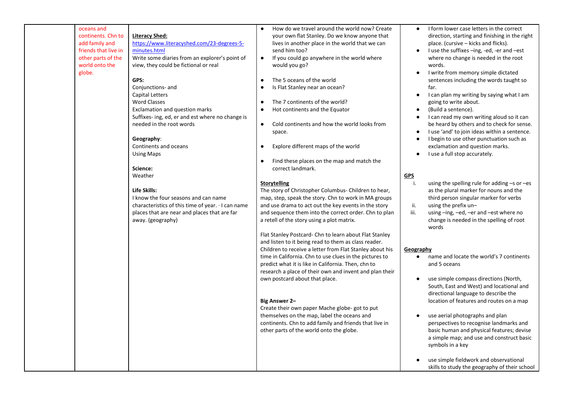| continents. Chn to<br><b>Literacy Shed:</b><br>your own flat Stanley. Do we know anyone that<br>direction, starting and finishing in the right<br>add family and<br>https://www.literacyshed.com/23-degrees-5-<br>place. (cursive - kicks and flicks).<br>lives in another place in the world that we can<br>friends that live in<br>minutes.html<br>send him too?<br>I use the suffixes -ing, -ed, -er and -est<br>other parts of the<br>Write some diaries from an explorer's point of<br>If you could go anywhere in the world where<br>where no change is needed in the root<br>$\bullet$<br>world onto the<br>view, they could be fictional or real<br>would you go?<br>words.<br>I write from memory simple dictated<br>globe.<br>$\bullet$<br>The 5 oceans of the world<br>GPS:<br>sentences including the words taught so<br>$\bullet$<br>Is Flat Stanley near an ocean?<br>Conjunctions- and<br>far.<br><b>Capital Letters</b><br>I can plan my writing by saying what I am<br>$\bullet$<br>The 7 continents of the world?<br><b>Word Classes</b><br>going to write about.<br>$\bullet$<br>Exclamation and question marks<br>Hot continents and the Equator<br>(Build a sentence).<br>$\bullet$<br>$\bullet$<br>I can read my own writing aloud so it can<br>Suffixes- ing, ed, er and est where no change is<br>$\bullet$<br>needed in the root words<br>be heard by others and to check for sense.<br>Cold continents and how the world looks from<br>$\bullet$<br>I use 'and' to join ideas within a sentence.<br>space.<br>$\bullet$<br>I begin to use other punctuation such as<br>Geography:<br>$\bullet$<br>Explore different maps of the world<br>exclamation and question marks.<br>Continents and oceans<br>$\bullet$<br>I use a full stop accurately.<br><b>Using Maps</b><br>$\bullet$<br>Find these places on the map and match the<br>$\bullet$<br>correct landmark.<br>Science:<br>Weather<br><b>GPS</b><br>i.<br>using the spelling rule for adding -s or -es<br>Storytelling<br>Life Skills:<br>The story of Christopher Columbus- Children to hear,<br>as the plural marker for nouns and the<br>I know the four seasons and can name<br>map, step, speak the story. Chn to work in MA groups<br>third person singular marker for verbs<br>characteristics of this time of year. . I can name<br>and use drama to act out the key events in the story<br>using the prefix un-<br>ii.<br>and sequence them into the correct order. Chn to plan<br>iii.<br>places that are near and places that are far<br>using -ing, -ed, -er and -est where no<br>away. (geography)<br>a retell of the story using a plot matrix.<br>change is needed in the spelling of root<br>words<br>Flat Stanley Postcard- Chn to learn about Flat Stanley<br>and listen to it being read to them as class reader.<br>Children to receive a letter from Flat Stanley about his<br>Geography<br>time in California. Chn to use clues in the pictures to<br>name and locate the world's 7 continents<br>predict what it is like in California. Then, chn to<br>and 5 oceans<br>research a place of their own and invent and plan their<br>use simple compass directions (North,<br>own postcard about that place.<br>$\bullet$<br>South, East and West) and locational and<br>directional language to describe the | oceans and | $\bullet$ | How do we travel around the world now? Create | $\bullet$ | I form lower case letters in the correct      |
|--------------------------------------------------------------------------------------------------------------------------------------------------------------------------------------------------------------------------------------------------------------------------------------------------------------------------------------------------------------------------------------------------------------------------------------------------------------------------------------------------------------------------------------------------------------------------------------------------------------------------------------------------------------------------------------------------------------------------------------------------------------------------------------------------------------------------------------------------------------------------------------------------------------------------------------------------------------------------------------------------------------------------------------------------------------------------------------------------------------------------------------------------------------------------------------------------------------------------------------------------------------------------------------------------------------------------------------------------------------------------------------------------------------------------------------------------------------------------------------------------------------------------------------------------------------------------------------------------------------------------------------------------------------------------------------------------------------------------------------------------------------------------------------------------------------------------------------------------------------------------------------------------------------------------------------------------------------------------------------------------------------------------------------------------------------------------------------------------------------------------------------------------------------------------------------------------------------------------------------------------------------------------------------------------------------------------------------------------------------------------------------------------------------------------------------------------------------------------------------------------------------------------------------------------------------------------------------------------------------------------------------------------------------------------------------------------------------------------------------------------------------------------------------------------------------------------------------------------------------------------------------------------------------------------------------------------------------------------------------------------------------------------------------------------------------------------------------------------------------------------------------------------------------------------------------------------------------------------------------------------------------------------------------------------------------------|------------|-----------|-----------------------------------------------|-----------|-----------------------------------------------|
|                                                                                                                                                                                                                                                                                                                                                                                                                                                                                                                                                                                                                                                                                                                                                                                                                                                                                                                                                                                                                                                                                                                                                                                                                                                                                                                                                                                                                                                                                                                                                                                                                                                                                                                                                                                                                                                                                                                                                                                                                                                                                                                                                                                                                                                                                                                                                                                                                                                                                                                                                                                                                                                                                                                                                                                                                                                                                                                                                                                                                                                                                                                                                                                                                                                                                                                    |            |           |                                               |           |                                               |
|                                                                                                                                                                                                                                                                                                                                                                                                                                                                                                                                                                                                                                                                                                                                                                                                                                                                                                                                                                                                                                                                                                                                                                                                                                                                                                                                                                                                                                                                                                                                                                                                                                                                                                                                                                                                                                                                                                                                                                                                                                                                                                                                                                                                                                                                                                                                                                                                                                                                                                                                                                                                                                                                                                                                                                                                                                                                                                                                                                                                                                                                                                                                                                                                                                                                                                                    |            |           |                                               |           |                                               |
|                                                                                                                                                                                                                                                                                                                                                                                                                                                                                                                                                                                                                                                                                                                                                                                                                                                                                                                                                                                                                                                                                                                                                                                                                                                                                                                                                                                                                                                                                                                                                                                                                                                                                                                                                                                                                                                                                                                                                                                                                                                                                                                                                                                                                                                                                                                                                                                                                                                                                                                                                                                                                                                                                                                                                                                                                                                                                                                                                                                                                                                                                                                                                                                                                                                                                                                    |            |           |                                               |           |                                               |
|                                                                                                                                                                                                                                                                                                                                                                                                                                                                                                                                                                                                                                                                                                                                                                                                                                                                                                                                                                                                                                                                                                                                                                                                                                                                                                                                                                                                                                                                                                                                                                                                                                                                                                                                                                                                                                                                                                                                                                                                                                                                                                                                                                                                                                                                                                                                                                                                                                                                                                                                                                                                                                                                                                                                                                                                                                                                                                                                                                                                                                                                                                                                                                                                                                                                                                                    |            |           |                                               |           |                                               |
|                                                                                                                                                                                                                                                                                                                                                                                                                                                                                                                                                                                                                                                                                                                                                                                                                                                                                                                                                                                                                                                                                                                                                                                                                                                                                                                                                                                                                                                                                                                                                                                                                                                                                                                                                                                                                                                                                                                                                                                                                                                                                                                                                                                                                                                                                                                                                                                                                                                                                                                                                                                                                                                                                                                                                                                                                                                                                                                                                                                                                                                                                                                                                                                                                                                                                                                    |            |           |                                               |           |                                               |
|                                                                                                                                                                                                                                                                                                                                                                                                                                                                                                                                                                                                                                                                                                                                                                                                                                                                                                                                                                                                                                                                                                                                                                                                                                                                                                                                                                                                                                                                                                                                                                                                                                                                                                                                                                                                                                                                                                                                                                                                                                                                                                                                                                                                                                                                                                                                                                                                                                                                                                                                                                                                                                                                                                                                                                                                                                                                                                                                                                                                                                                                                                                                                                                                                                                                                                                    |            |           |                                               |           |                                               |
|                                                                                                                                                                                                                                                                                                                                                                                                                                                                                                                                                                                                                                                                                                                                                                                                                                                                                                                                                                                                                                                                                                                                                                                                                                                                                                                                                                                                                                                                                                                                                                                                                                                                                                                                                                                                                                                                                                                                                                                                                                                                                                                                                                                                                                                                                                                                                                                                                                                                                                                                                                                                                                                                                                                                                                                                                                                                                                                                                                                                                                                                                                                                                                                                                                                                                                                    |            |           |                                               |           |                                               |
|                                                                                                                                                                                                                                                                                                                                                                                                                                                                                                                                                                                                                                                                                                                                                                                                                                                                                                                                                                                                                                                                                                                                                                                                                                                                                                                                                                                                                                                                                                                                                                                                                                                                                                                                                                                                                                                                                                                                                                                                                                                                                                                                                                                                                                                                                                                                                                                                                                                                                                                                                                                                                                                                                                                                                                                                                                                                                                                                                                                                                                                                                                                                                                                                                                                                                                                    |            |           |                                               |           |                                               |
|                                                                                                                                                                                                                                                                                                                                                                                                                                                                                                                                                                                                                                                                                                                                                                                                                                                                                                                                                                                                                                                                                                                                                                                                                                                                                                                                                                                                                                                                                                                                                                                                                                                                                                                                                                                                                                                                                                                                                                                                                                                                                                                                                                                                                                                                                                                                                                                                                                                                                                                                                                                                                                                                                                                                                                                                                                                                                                                                                                                                                                                                                                                                                                                                                                                                                                                    |            |           |                                               |           |                                               |
|                                                                                                                                                                                                                                                                                                                                                                                                                                                                                                                                                                                                                                                                                                                                                                                                                                                                                                                                                                                                                                                                                                                                                                                                                                                                                                                                                                                                                                                                                                                                                                                                                                                                                                                                                                                                                                                                                                                                                                                                                                                                                                                                                                                                                                                                                                                                                                                                                                                                                                                                                                                                                                                                                                                                                                                                                                                                                                                                                                                                                                                                                                                                                                                                                                                                                                                    |            |           |                                               |           |                                               |
|                                                                                                                                                                                                                                                                                                                                                                                                                                                                                                                                                                                                                                                                                                                                                                                                                                                                                                                                                                                                                                                                                                                                                                                                                                                                                                                                                                                                                                                                                                                                                                                                                                                                                                                                                                                                                                                                                                                                                                                                                                                                                                                                                                                                                                                                                                                                                                                                                                                                                                                                                                                                                                                                                                                                                                                                                                                                                                                                                                                                                                                                                                                                                                                                                                                                                                                    |            |           |                                               |           |                                               |
|                                                                                                                                                                                                                                                                                                                                                                                                                                                                                                                                                                                                                                                                                                                                                                                                                                                                                                                                                                                                                                                                                                                                                                                                                                                                                                                                                                                                                                                                                                                                                                                                                                                                                                                                                                                                                                                                                                                                                                                                                                                                                                                                                                                                                                                                                                                                                                                                                                                                                                                                                                                                                                                                                                                                                                                                                                                                                                                                                                                                                                                                                                                                                                                                                                                                                                                    |            |           |                                               |           |                                               |
|                                                                                                                                                                                                                                                                                                                                                                                                                                                                                                                                                                                                                                                                                                                                                                                                                                                                                                                                                                                                                                                                                                                                                                                                                                                                                                                                                                                                                                                                                                                                                                                                                                                                                                                                                                                                                                                                                                                                                                                                                                                                                                                                                                                                                                                                                                                                                                                                                                                                                                                                                                                                                                                                                                                                                                                                                                                                                                                                                                                                                                                                                                                                                                                                                                                                                                                    |            |           |                                               |           |                                               |
|                                                                                                                                                                                                                                                                                                                                                                                                                                                                                                                                                                                                                                                                                                                                                                                                                                                                                                                                                                                                                                                                                                                                                                                                                                                                                                                                                                                                                                                                                                                                                                                                                                                                                                                                                                                                                                                                                                                                                                                                                                                                                                                                                                                                                                                                                                                                                                                                                                                                                                                                                                                                                                                                                                                                                                                                                                                                                                                                                                                                                                                                                                                                                                                                                                                                                                                    |            |           |                                               |           |                                               |
|                                                                                                                                                                                                                                                                                                                                                                                                                                                                                                                                                                                                                                                                                                                                                                                                                                                                                                                                                                                                                                                                                                                                                                                                                                                                                                                                                                                                                                                                                                                                                                                                                                                                                                                                                                                                                                                                                                                                                                                                                                                                                                                                                                                                                                                                                                                                                                                                                                                                                                                                                                                                                                                                                                                                                                                                                                                                                                                                                                                                                                                                                                                                                                                                                                                                                                                    |            |           |                                               |           |                                               |
|                                                                                                                                                                                                                                                                                                                                                                                                                                                                                                                                                                                                                                                                                                                                                                                                                                                                                                                                                                                                                                                                                                                                                                                                                                                                                                                                                                                                                                                                                                                                                                                                                                                                                                                                                                                                                                                                                                                                                                                                                                                                                                                                                                                                                                                                                                                                                                                                                                                                                                                                                                                                                                                                                                                                                                                                                                                                                                                                                                                                                                                                                                                                                                                                                                                                                                                    |            |           |                                               |           |                                               |
|                                                                                                                                                                                                                                                                                                                                                                                                                                                                                                                                                                                                                                                                                                                                                                                                                                                                                                                                                                                                                                                                                                                                                                                                                                                                                                                                                                                                                                                                                                                                                                                                                                                                                                                                                                                                                                                                                                                                                                                                                                                                                                                                                                                                                                                                                                                                                                                                                                                                                                                                                                                                                                                                                                                                                                                                                                                                                                                                                                                                                                                                                                                                                                                                                                                                                                                    |            |           |                                               |           |                                               |
|                                                                                                                                                                                                                                                                                                                                                                                                                                                                                                                                                                                                                                                                                                                                                                                                                                                                                                                                                                                                                                                                                                                                                                                                                                                                                                                                                                                                                                                                                                                                                                                                                                                                                                                                                                                                                                                                                                                                                                                                                                                                                                                                                                                                                                                                                                                                                                                                                                                                                                                                                                                                                                                                                                                                                                                                                                                                                                                                                                                                                                                                                                                                                                                                                                                                                                                    |            |           |                                               |           |                                               |
|                                                                                                                                                                                                                                                                                                                                                                                                                                                                                                                                                                                                                                                                                                                                                                                                                                                                                                                                                                                                                                                                                                                                                                                                                                                                                                                                                                                                                                                                                                                                                                                                                                                                                                                                                                                                                                                                                                                                                                                                                                                                                                                                                                                                                                                                                                                                                                                                                                                                                                                                                                                                                                                                                                                                                                                                                                                                                                                                                                                                                                                                                                                                                                                                                                                                                                                    |            |           |                                               |           |                                               |
|                                                                                                                                                                                                                                                                                                                                                                                                                                                                                                                                                                                                                                                                                                                                                                                                                                                                                                                                                                                                                                                                                                                                                                                                                                                                                                                                                                                                                                                                                                                                                                                                                                                                                                                                                                                                                                                                                                                                                                                                                                                                                                                                                                                                                                                                                                                                                                                                                                                                                                                                                                                                                                                                                                                                                                                                                                                                                                                                                                                                                                                                                                                                                                                                                                                                                                                    |            |           |                                               |           |                                               |
|                                                                                                                                                                                                                                                                                                                                                                                                                                                                                                                                                                                                                                                                                                                                                                                                                                                                                                                                                                                                                                                                                                                                                                                                                                                                                                                                                                                                                                                                                                                                                                                                                                                                                                                                                                                                                                                                                                                                                                                                                                                                                                                                                                                                                                                                                                                                                                                                                                                                                                                                                                                                                                                                                                                                                                                                                                                                                                                                                                                                                                                                                                                                                                                                                                                                                                                    |            |           |                                               |           |                                               |
|                                                                                                                                                                                                                                                                                                                                                                                                                                                                                                                                                                                                                                                                                                                                                                                                                                                                                                                                                                                                                                                                                                                                                                                                                                                                                                                                                                                                                                                                                                                                                                                                                                                                                                                                                                                                                                                                                                                                                                                                                                                                                                                                                                                                                                                                                                                                                                                                                                                                                                                                                                                                                                                                                                                                                                                                                                                                                                                                                                                                                                                                                                                                                                                                                                                                                                                    |            |           |                                               |           |                                               |
|                                                                                                                                                                                                                                                                                                                                                                                                                                                                                                                                                                                                                                                                                                                                                                                                                                                                                                                                                                                                                                                                                                                                                                                                                                                                                                                                                                                                                                                                                                                                                                                                                                                                                                                                                                                                                                                                                                                                                                                                                                                                                                                                                                                                                                                                                                                                                                                                                                                                                                                                                                                                                                                                                                                                                                                                                                                                                                                                                                                                                                                                                                                                                                                                                                                                                                                    |            |           |                                               |           |                                               |
|                                                                                                                                                                                                                                                                                                                                                                                                                                                                                                                                                                                                                                                                                                                                                                                                                                                                                                                                                                                                                                                                                                                                                                                                                                                                                                                                                                                                                                                                                                                                                                                                                                                                                                                                                                                                                                                                                                                                                                                                                                                                                                                                                                                                                                                                                                                                                                                                                                                                                                                                                                                                                                                                                                                                                                                                                                                                                                                                                                                                                                                                                                                                                                                                                                                                                                                    |            |           |                                               |           |                                               |
|                                                                                                                                                                                                                                                                                                                                                                                                                                                                                                                                                                                                                                                                                                                                                                                                                                                                                                                                                                                                                                                                                                                                                                                                                                                                                                                                                                                                                                                                                                                                                                                                                                                                                                                                                                                                                                                                                                                                                                                                                                                                                                                                                                                                                                                                                                                                                                                                                                                                                                                                                                                                                                                                                                                                                                                                                                                                                                                                                                                                                                                                                                                                                                                                                                                                                                                    |            |           |                                               |           |                                               |
|                                                                                                                                                                                                                                                                                                                                                                                                                                                                                                                                                                                                                                                                                                                                                                                                                                                                                                                                                                                                                                                                                                                                                                                                                                                                                                                                                                                                                                                                                                                                                                                                                                                                                                                                                                                                                                                                                                                                                                                                                                                                                                                                                                                                                                                                                                                                                                                                                                                                                                                                                                                                                                                                                                                                                                                                                                                                                                                                                                                                                                                                                                                                                                                                                                                                                                                    |            |           |                                               |           |                                               |
|                                                                                                                                                                                                                                                                                                                                                                                                                                                                                                                                                                                                                                                                                                                                                                                                                                                                                                                                                                                                                                                                                                                                                                                                                                                                                                                                                                                                                                                                                                                                                                                                                                                                                                                                                                                                                                                                                                                                                                                                                                                                                                                                                                                                                                                                                                                                                                                                                                                                                                                                                                                                                                                                                                                                                                                                                                                                                                                                                                                                                                                                                                                                                                                                                                                                                                                    |            |           |                                               |           |                                               |
|                                                                                                                                                                                                                                                                                                                                                                                                                                                                                                                                                                                                                                                                                                                                                                                                                                                                                                                                                                                                                                                                                                                                                                                                                                                                                                                                                                                                                                                                                                                                                                                                                                                                                                                                                                                                                                                                                                                                                                                                                                                                                                                                                                                                                                                                                                                                                                                                                                                                                                                                                                                                                                                                                                                                                                                                                                                                                                                                                                                                                                                                                                                                                                                                                                                                                                                    |            |           |                                               |           |                                               |
|                                                                                                                                                                                                                                                                                                                                                                                                                                                                                                                                                                                                                                                                                                                                                                                                                                                                                                                                                                                                                                                                                                                                                                                                                                                                                                                                                                                                                                                                                                                                                                                                                                                                                                                                                                                                                                                                                                                                                                                                                                                                                                                                                                                                                                                                                                                                                                                                                                                                                                                                                                                                                                                                                                                                                                                                                                                                                                                                                                                                                                                                                                                                                                                                                                                                                                                    |            |           |                                               |           |                                               |
|                                                                                                                                                                                                                                                                                                                                                                                                                                                                                                                                                                                                                                                                                                                                                                                                                                                                                                                                                                                                                                                                                                                                                                                                                                                                                                                                                                                                                                                                                                                                                                                                                                                                                                                                                                                                                                                                                                                                                                                                                                                                                                                                                                                                                                                                                                                                                                                                                                                                                                                                                                                                                                                                                                                                                                                                                                                                                                                                                                                                                                                                                                                                                                                                                                                                                                                    |            |           |                                               |           |                                               |
|                                                                                                                                                                                                                                                                                                                                                                                                                                                                                                                                                                                                                                                                                                                                                                                                                                                                                                                                                                                                                                                                                                                                                                                                                                                                                                                                                                                                                                                                                                                                                                                                                                                                                                                                                                                                                                                                                                                                                                                                                                                                                                                                                                                                                                                                                                                                                                                                                                                                                                                                                                                                                                                                                                                                                                                                                                                                                                                                                                                                                                                                                                                                                                                                                                                                                                                    |            |           |                                               |           |                                               |
|                                                                                                                                                                                                                                                                                                                                                                                                                                                                                                                                                                                                                                                                                                                                                                                                                                                                                                                                                                                                                                                                                                                                                                                                                                                                                                                                                                                                                                                                                                                                                                                                                                                                                                                                                                                                                                                                                                                                                                                                                                                                                                                                                                                                                                                                                                                                                                                                                                                                                                                                                                                                                                                                                                                                                                                                                                                                                                                                                                                                                                                                                                                                                                                                                                                                                                                    |            |           |                                               |           |                                               |
|                                                                                                                                                                                                                                                                                                                                                                                                                                                                                                                                                                                                                                                                                                                                                                                                                                                                                                                                                                                                                                                                                                                                                                                                                                                                                                                                                                                                                                                                                                                                                                                                                                                                                                                                                                                                                                                                                                                                                                                                                                                                                                                                                                                                                                                                                                                                                                                                                                                                                                                                                                                                                                                                                                                                                                                                                                                                                                                                                                                                                                                                                                                                                                                                                                                                                                                    |            |           |                                               |           |                                               |
| location of features and routes on a map<br><b>Big Answer 2-</b>                                                                                                                                                                                                                                                                                                                                                                                                                                                                                                                                                                                                                                                                                                                                                                                                                                                                                                                                                                                                                                                                                                                                                                                                                                                                                                                                                                                                                                                                                                                                                                                                                                                                                                                                                                                                                                                                                                                                                                                                                                                                                                                                                                                                                                                                                                                                                                                                                                                                                                                                                                                                                                                                                                                                                                                                                                                                                                                                                                                                                                                                                                                                                                                                                                                   |            |           |                                               |           |                                               |
| Create their own paper Mache globe- got to put<br>themselves on the map, label the oceans and<br>use aerial photographs and plan                                                                                                                                                                                                                                                                                                                                                                                                                                                                                                                                                                                                                                                                                                                                                                                                                                                                                                                                                                                                                                                                                                                                                                                                                                                                                                                                                                                                                                                                                                                                                                                                                                                                                                                                                                                                                                                                                                                                                                                                                                                                                                                                                                                                                                                                                                                                                                                                                                                                                                                                                                                                                                                                                                                                                                                                                                                                                                                                                                                                                                                                                                                                                                                   |            |           |                                               |           |                                               |
| continents. Chn to add family and friends that live in<br>perspectives to recognise landmarks and                                                                                                                                                                                                                                                                                                                                                                                                                                                                                                                                                                                                                                                                                                                                                                                                                                                                                                                                                                                                                                                                                                                                                                                                                                                                                                                                                                                                                                                                                                                                                                                                                                                                                                                                                                                                                                                                                                                                                                                                                                                                                                                                                                                                                                                                                                                                                                                                                                                                                                                                                                                                                                                                                                                                                                                                                                                                                                                                                                                                                                                                                                                                                                                                                  |            |           |                                               |           |                                               |
| other parts of the world onto the globe.<br>basic human and physical features; devise                                                                                                                                                                                                                                                                                                                                                                                                                                                                                                                                                                                                                                                                                                                                                                                                                                                                                                                                                                                                                                                                                                                                                                                                                                                                                                                                                                                                                                                                                                                                                                                                                                                                                                                                                                                                                                                                                                                                                                                                                                                                                                                                                                                                                                                                                                                                                                                                                                                                                                                                                                                                                                                                                                                                                                                                                                                                                                                                                                                                                                                                                                                                                                                                                              |            |           |                                               |           |                                               |
| a simple map; and use and construct basic                                                                                                                                                                                                                                                                                                                                                                                                                                                                                                                                                                                                                                                                                                                                                                                                                                                                                                                                                                                                                                                                                                                                                                                                                                                                                                                                                                                                                                                                                                                                                                                                                                                                                                                                                                                                                                                                                                                                                                                                                                                                                                                                                                                                                                                                                                                                                                                                                                                                                                                                                                                                                                                                                                                                                                                                                                                                                                                                                                                                                                                                                                                                                                                                                                                                          |            |           |                                               |           |                                               |
| symbols in a key                                                                                                                                                                                                                                                                                                                                                                                                                                                                                                                                                                                                                                                                                                                                                                                                                                                                                                                                                                                                                                                                                                                                                                                                                                                                                                                                                                                                                                                                                                                                                                                                                                                                                                                                                                                                                                                                                                                                                                                                                                                                                                                                                                                                                                                                                                                                                                                                                                                                                                                                                                                                                                                                                                                                                                                                                                                                                                                                                                                                                                                                                                                                                                                                                                                                                                   |            |           |                                               |           |                                               |
| use simple fieldwork and observational<br>$\bullet$                                                                                                                                                                                                                                                                                                                                                                                                                                                                                                                                                                                                                                                                                                                                                                                                                                                                                                                                                                                                                                                                                                                                                                                                                                                                                                                                                                                                                                                                                                                                                                                                                                                                                                                                                                                                                                                                                                                                                                                                                                                                                                                                                                                                                                                                                                                                                                                                                                                                                                                                                                                                                                                                                                                                                                                                                                                                                                                                                                                                                                                                                                                                                                                                                                                                |            |           |                                               |           |                                               |
|                                                                                                                                                                                                                                                                                                                                                                                                                                                                                                                                                                                                                                                                                                                                                                                                                                                                                                                                                                                                                                                                                                                                                                                                                                                                                                                                                                                                                                                                                                                                                                                                                                                                                                                                                                                                                                                                                                                                                                                                                                                                                                                                                                                                                                                                                                                                                                                                                                                                                                                                                                                                                                                                                                                                                                                                                                                                                                                                                                                                                                                                                                                                                                                                                                                                                                                    |            |           |                                               |           | skills to study the geography of their school |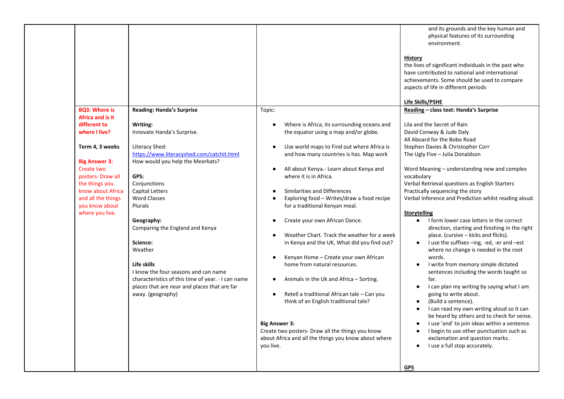|                                                                                                                                                                          |                                                                                                                                                                                                       |                                                                                                                                                                                                                                                                                                                                    | and its grounds and the key human and<br>physical features of its surrounding                                                                                                                                                                                                                                                                                                                                                                                                                                                                                                     |
|--------------------------------------------------------------------------------------------------------------------------------------------------------------------------|-------------------------------------------------------------------------------------------------------------------------------------------------------------------------------------------------------|------------------------------------------------------------------------------------------------------------------------------------------------------------------------------------------------------------------------------------------------------------------------------------------------------------------------------------|-----------------------------------------------------------------------------------------------------------------------------------------------------------------------------------------------------------------------------------------------------------------------------------------------------------------------------------------------------------------------------------------------------------------------------------------------------------------------------------------------------------------------------------------------------------------------------------|
| <b>BO3: Where is</b><br>Africa and is it<br>different to<br>where I live?<br>Term 4, 3 weeks<br><b>Big Answer 3:</b><br>Create two<br>posters-Draw all<br>the things you | <b>Reading: Handa's Surprise</b><br>Writing:<br>Innovate Handa's Surprise.<br>Literacy Shed:<br>https://www.literacyshed.com/catchit.html<br>How would you help the Meerkats?<br>GPS:<br>Conjunctions | Topic:<br>Where is Africa, its surrounding oceans and<br>the equator using a map and/or globe.<br>Use world maps to Find out where Africa is<br>$\bullet$<br>and how many countries is has. Map work<br>All about Kenya.- Learn about Kenya and<br>$\bullet$<br>where it is in Africa.                                             | environment.<br><b>History</b><br>the lives of significant individuals in the past who<br>have contributed to national and international<br>achievements. Some should be used to compare<br>aspects of life in different periods<br>Life Skills/PSHE<br>Reading - class text: Handa's Surprise<br>Lila and the Secret of Rain<br>David Conway & Jude Daly<br>All Aboard for the Bobo Road<br>Stephen Davies & Christopher Corr<br>The Ugly Five - Julia Donaldson<br>Word Meaning – understanding new and complex<br>vocabulary<br>Verbal Retrieval questions as English Starters |
| know about Africa<br>and all the things                                                                                                                                  | Capital Letters<br><b>Word Classes</b>                                                                                                                                                                | Similarities and Differences<br>Exploring food - Writes/draw a food recipe<br>$\bullet$                                                                                                                                                                                                                                            | Practically sequencing the story<br>Verbal Inference and Prediction whilst reading aloud.                                                                                                                                                                                                                                                                                                                                                                                                                                                                                         |
| you know about<br>where you live.                                                                                                                                        | Plurals<br>Geography:<br>Comparing the England and Kenya                                                                                                                                              | for a traditional Kenyan meal.<br>Create your own African Dance.                                                                                                                                                                                                                                                                   | <b>Storytelling</b><br>I form lower case letters in the correct<br>$\bullet$<br>direction, starting and finishing in the right                                                                                                                                                                                                                                                                                                                                                                                                                                                    |
|                                                                                                                                                                          | Science:<br>Weather                                                                                                                                                                                   | Weather Chart. Track the weather for a week<br>in Kenya and the UK, What did you find out?<br>Kenyan Home - Create your own African<br>$\bullet$                                                                                                                                                                                   | place. (cursive – kicks and flicks).<br>I use the suffixes -ing, -ed, -er and -est<br>where no change is needed in the root<br>words.                                                                                                                                                                                                                                                                                                                                                                                                                                             |
|                                                                                                                                                                          | Life skills<br>I know the four seasons and can name<br>characteristics of this time of year. I can name<br>places that are near and places that are far<br>away. (geography)                          | home from natural resources.<br>Animals in the Uk and Africa – Sorting.<br>٠<br>Retell a traditional African tale - Can you<br>$\bullet$<br>think of an English traditional tale?<br><b>Big Answer 3:</b><br>Create two posters- Draw all the things you know<br>about Africa and all the things you know about where<br>you live. | I write from memory simple dictated<br>sentences including the words taught so<br>far.<br>I can plan my writing by saying what I am<br>$\bullet$<br>going to write about.<br>(Build a sentence).<br>$\bullet$<br>I can read my own writing aloud so it can<br>$\bullet$<br>be heard by others and to check for sense.<br>I use 'and' to join ideas within a sentence.<br>$\bullet$<br>I begin to use other punctuation such as<br>$\bullet$<br>exclamation and question marks.<br>I use a full stop accurately.<br>$\bullet$                                                      |
|                                                                                                                                                                          |                                                                                                                                                                                                       |                                                                                                                                                                                                                                                                                                                                    | <b>GPS</b>                                                                                                                                                                                                                                                                                                                                                                                                                                                                                                                                                                        |